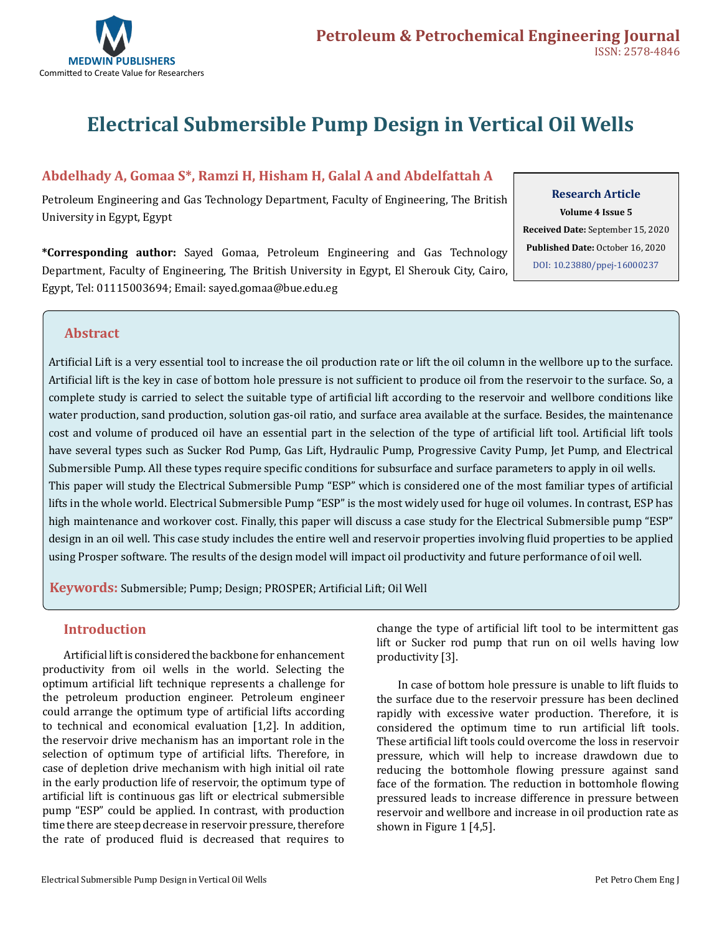

# **Electrical Submersible Pump Design in Vertical Oil Wells**

### **Abdelhady A, Gomaa S\*, Ramzi H, Hisham H, Galal A and Abdelfattah A**

Petroleum Engineering and Gas Technology Department, Faculty of Engineering, The British University in Egypt, Egypt

**Research Article Volume 4 Issue 5**

**Received Date:** September 15, 2020 **Published Date:** October 16, 2020 [DOI: 10.23880/ppej-16000237](https://doi.org/10.23880/ppej-16000237)

**\*Corresponding author:** Sayed Gomaa, Petroleum Engineering and Gas Technology Department, Faculty of Engineering, The British University in Egypt, El Sherouk City, Cairo, Egypt, Tel: 01115003694; Email: sayed.gomaa@bue.edu.eg

### **Abstract**

Artificial Lift is a very essential tool to increase the oil production rate or lift the oil column in the wellbore up to the surface. Artificial lift is the key in case of bottom hole pressure is not sufficient to produce oil from the reservoir to the surface. So, a complete study is carried to select the suitable type of artificial lift according to the reservoir and wellbore conditions like water production, sand production, solution gas-oil ratio, and surface area available at the surface. Besides, the maintenance cost and volume of produced oil have an essential part in the selection of the type of artificial lift tool. Artificial lift tools have several types such as Sucker Rod Pump, Gas Lift, Hydraulic Pump, Progressive Cavity Pump, Jet Pump, and Electrical Submersible Pump. All these types require specific conditions for subsurface and surface parameters to apply in oil wells. This paper will study the Electrical Submersible Pump "ESP" which is considered one of the most familiar types of artificial lifts in the whole world. Electrical Submersible Pump "ESP" is the most widely used for huge oil volumes. In contrast, ESP has high maintenance and workover cost. Finally, this paper will discuss a case study for the Electrical Submersible pump "ESP" design in an oil well. This case study includes the entire well and reservoir properties involving fluid properties to be applied using Prosper software. The results of the design model will impact oil productivity and future performance of oil well.

 **Keywords:** Submersible; Pump; Design; PROSPER; Artificial Lift; Oil Well

### **Introduction**

Artificial lift is considered the backbone for enhancement productivity from oil wells in the world. Selecting the optimum artificial lift technique represents a challenge for the petroleum production engineer. Petroleum engineer could arrange the optimum type of artificial lifts according to technical and economical evaluation [1,2]. In addition, the reservoir drive mechanism has an important role in the selection of optimum type of artificial lifts. Therefore, in case of depletion drive mechanism with high initial oil rate in the early production life of reservoir, the optimum type of artificial lift is continuous gas lift or electrical submersible pump "ESP" could be applied. In contrast, with production time there are steep decrease in reservoir pressure, therefore the rate of produced fluid is decreased that requires to

change the type of artificial lift tool to be intermittent gas lift or Sucker rod pump that run on oil wells having low productivity [3].

In case of bottom hole pressure is unable to lift fluids to the surface due to the reservoir pressure has been declined rapidly with excessive water production. Therefore, it is considered the optimum time to run artificial lift tools. These artificial lift tools could overcome the loss in reservoir pressure, which will help to increase drawdown due to reducing the bottomhole flowing pressure against sand face of the formation. The reduction in bottomhole flowing pressured leads to increase difference in pressure between reservoir and wellbore and increase in oil production rate as shown in Figure 1 [4,5].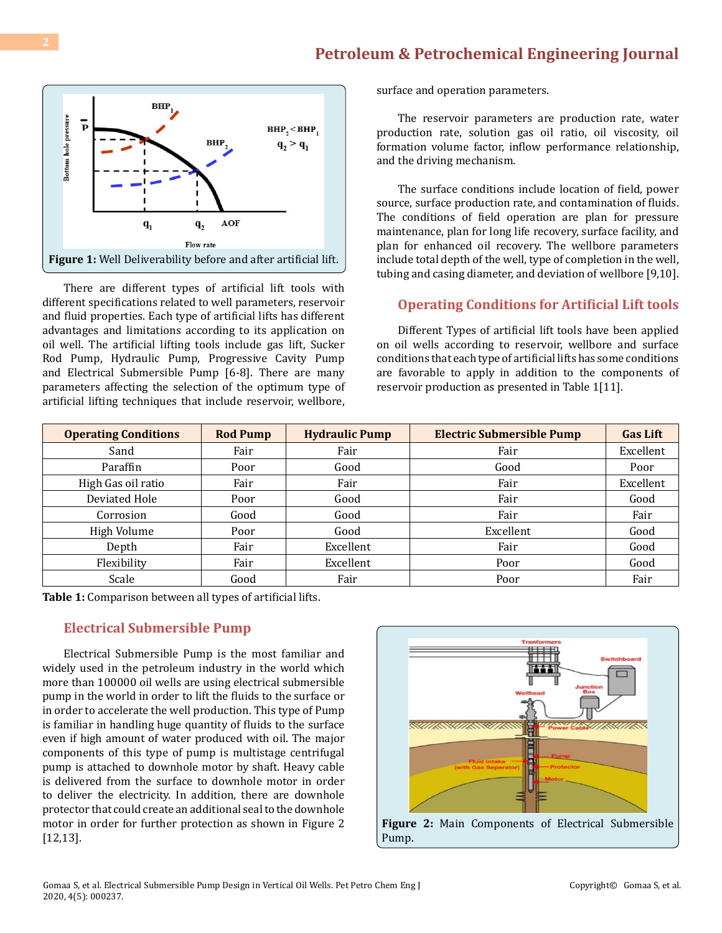

There are different types of artificial lift tools with different specifications related to well parameters, reservoir and fluid properties. Each type of artificial lifts has different advantages and limitations according to its application on oil well. The artificial lifting tools include gas lift, Sucker Rod Pump, Hydraulic Pump, Progressive Cavity Pump and Electrical Submersible Pump [6-8]. There are many parameters affecting the selection of the optimum type of artificial lifting techniques that include reservoir, wellbore,

surface and operation parameters.

The reservoir parameters are production rate, water production rate, solution gas oil ratio, oil viscosity, oil formation volume factor, inflow performance relationship, and the driving mechanism.

The surface conditions include location of field, power source, surface production rate, and contamination of fluids. The conditions of field operation are plan for pressure maintenance, plan for long life recovery, surface facility, and plan for enhanced oil recovery. The wellbore parameters include total depth of the well, type of completion in the well, tubing and casing diameter, and deviation of wellbore [9,10].

#### **Operating Conditions for Artificial Lift tools**

Different Types of artificial lift tools have been applied on oil wells according to reservoir, wellbore and surface conditions that each type of artificial lifts has some conditions are favorable to apply in addition to the components of reservoir production as presented in Table 1[11].

| <b>Operating Conditions</b> | <b>Rod Pump</b> | <b>Hydraulic Pump</b> | <b>Electric Submersible Pump</b> | <b>Gas Lift</b> |
|-----------------------------|-----------------|-----------------------|----------------------------------|-----------------|
| Sand                        | Fair            | Fair                  | Fair                             | Excellent       |
| Paraffin                    | Poor            | Good                  | Good                             | Poor            |
| High Gas oil ratio          | Fair            | Fair                  | Fair                             | Excellent       |
| Deviated Hole               | Poor            | Good                  | Fair                             | Good            |
| Corrosion                   | Good            | Good                  | Fair                             | Fair            |
| High Volume                 | Poor            | Good                  | Excellent                        | Good            |
| Depth                       | Fair            | Excellent             | Fair                             | Good            |
| Flexibility                 | Fair            | Excellent             | Poor                             | Good            |
| Scale                       | Good            | Fair                  | Poor                             | Fair            |

**Table 1:** Comparison between all types of artificial lifts.

#### **Electrical Submersible Pump**

Electrical Submersible Pump is the most familiar and widely used in the petroleum industry in the world which more than 100000 oil wells are using electrical submersible pump in the world in order to lift the fluids to the surface or in order to accelerate the well production. This type of Pump is familiar in handling huge quantity of fluids to the surface even if high amount of water produced with oil. The major components of this type of pump is multistage centrifugal pump is attached to downhole motor by shaft. Heavy cable is delivered from the surface to downhole motor in order to deliver the electricity. In addition, there are downhole protector that could create an additional seal to the downhole motor in order for further protection as shown in Figure 2 [12,13].



Pump.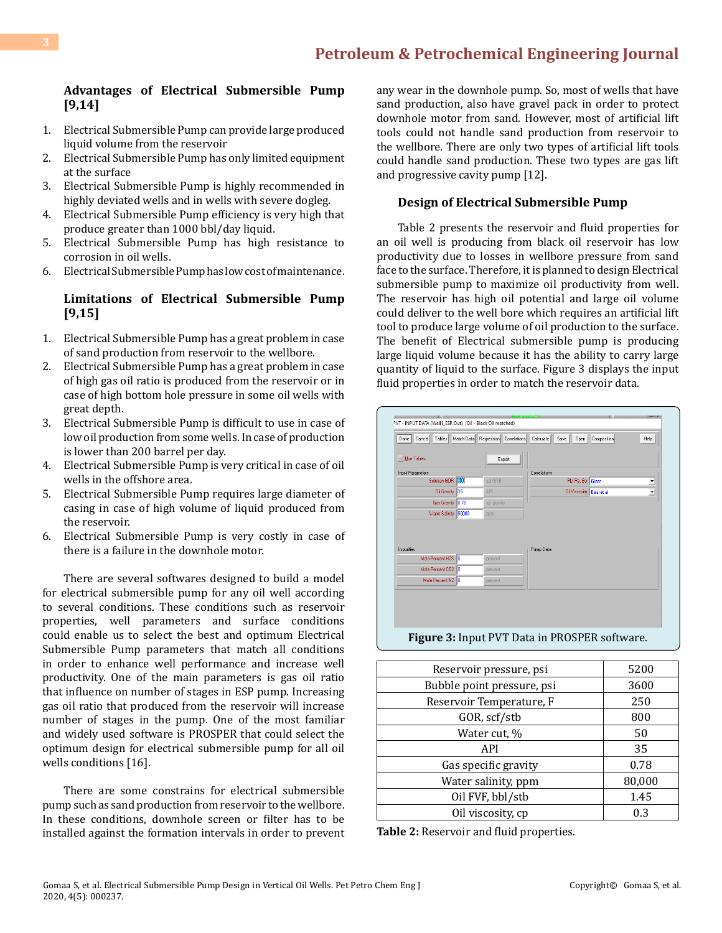#### **Advantages of Electrical Submersible Pump [9,14]**

- 1. Electrical Submersible Pump can provide large produced liquid volume from the reservoir
- 2. Electrical Submersible Pump has only limited equipment at the surface
- 3. Electrical Submersible Pump is highly recommended in highly deviated wells and in wells with severe dogleg.
- 4. Electrical Submersible Pump efficiency is very high that produce greater than 1000 bbl/day liquid.
- 5. Electrical Submersible Pump has high resistance to corrosion in oil wells.
- 6. Electrical Submersible Pump has low cost of maintenance.

### **Limitations of Electrical Submersible Pump [9,15]**

- 1. Electrical Submersible Pump has a great problem in case of sand production from reservoir to the wellbore.
- 2. Electrical Submersible Pump has a great problem in case of high gas oil ratio is produced from the reservoir or in case of high bottom hole pressure in some oil wells with great depth.
- 3. Electrical Submersible Pump is difficult to use in case of low oil production from some wells. In case of production is lower than 200 barrel per day.
- 4. Electrical Submersible Pump is very critical in case of oil wells in the offshore area.
- 5. Electrical Submersible Pump requires large diameter of casing in case of high volume of liquid produced from the reservoir.
- 6. Electrical Submersible Pump is very costly in case of there is a failure in the downhole motor.

There are several softwares designed to build a model for electrical submersible pump for any oil well according to several conditions. These conditions such as reservoir properties, well parameters and surface conditions could enable us to select the best and optimum Electrical Submersible Pump parameters that match all conditions in order to enhance well performance and increase well productivity. One of the main parameters is gas oil ratio that influence on number of stages in ESP pump. Increasing gas oil ratio that produced from the reservoir will increase number of stages in the pump. One of the most familiar and widely used software is PROSPER that could select the optimum design for electrical submersible pump for all oil wells conditions [16].

There are some constrains for electrical submersible pump such as sand production from reservoir to the wellbore. In these conditions, downhole screen or filter has to be installed against the formation intervals in order to prevent any wear in the downhole pump. So, most of wells that have sand production, also have gravel pack in order to protect downhole motor from sand. However, most of artificial lift tools could not handle sand production from reservoir to the wellbore. There are only two types of artificial lift tools could handle sand production. These two types are gas lift and progressive cavity pump [12].

#### **Design of Electrical Submersible Pump**

Table 2 presents the reservoir and fluid properties for an oil well is producing from black oil reservoir has low productivity due to losses in wellbore pressure from sand face to the surface. Therefore, it is planned to design Electrical submersible pump to maximize oil productivity from well. The reservoir has high oil potential and large oil volume could deliver to the well bore which requires an artificial lift tool to produce large volume of oil production to the surface. The benefit of Electrical submersible pump is producing large liquid volume because it has the ability to carry large quantity of liquid to the surface. Figure 3 displays the input fluid properties in order to match the reservoir data.

| Correlations<br>Input Parameters<br>Pb, Rs, Bo Glaso<br>Solution GOR<br>800<br>scf/STB<br>35<br>Oil Gravity<br>API<br>Oil Viscosity Beal et al.<br>0.78<br>Gas Gravity<br>sp. gravity<br>Water Salinity 80000<br>ppm | $\check{}$<br>$\overline{\phantom{a}}$ |
|----------------------------------------------------------------------------------------------------------------------------------------------------------------------------------------------------------------------|----------------------------------------|
|                                                                                                                                                                                                                      |                                        |
|                                                                                                                                                                                                                      |                                        |
|                                                                                                                                                                                                                      |                                        |
|                                                                                                                                                                                                                      |                                        |
|                                                                                                                                                                                                                      |                                        |
| Impurities <sup>-</sup><br>Pump Data                                                                                                                                                                                 |                                        |
| Mole Percent H2S 0<br>percent                                                                                                                                                                                        |                                        |
| Mole Percent CO2 0<br>percent                                                                                                                                                                                        |                                        |
|                                                                                                                                                                                                                      |                                        |

| Reservoir pressure, psi    | 5200   |
|----------------------------|--------|
| Bubble point pressure, psi | 3600   |
| Reservoir Temperature, F   | 250    |
| GOR, scf/stb               | 800    |
| Water cut, %               | 50     |
| API                        | 35     |
| Gas specific gravity       | 0.78   |
| Water salinity, ppm        | 80,000 |
| Oil FVF, bbl/stb           | 1.45   |
| Oil viscosity, cp          | 0.3    |

**Table 2:** Reservoir and fluid properties.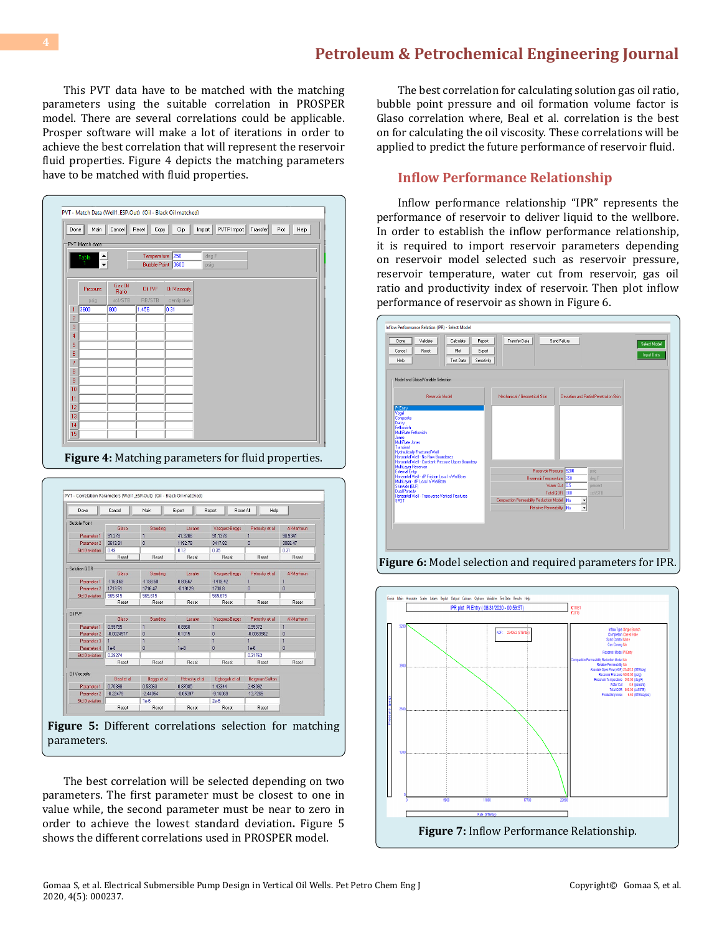This PVT data have to be matched with the matching parameters using the suitable correlation in PROSPER model. There are several correlations could be applicable. Prosper software will make a lot of iterations in order to achieve the best correlation that will represent the reservoir fluid properties. Figure 4 depicts the matching parameters have to be matched with fluid properties.

| Done           | Main                                   | Cancel           | Reset<br>Copy                          | Clip                 | Import        | PVTP Import | Transfer | Plot<br>Help |  |
|----------------|----------------------------------------|------------------|----------------------------------------|----------------------|---------------|-------------|----------|--------------|--|
|                | PVT Match data<br>$\div$<br>Table<br>1 |                  | Temperature 250<br><b>Bubble Point</b> | 3600                 | deg F<br>psig |             |          |              |  |
|                | Pressure                               | Gas Oil<br>Ratio | <b>Oil FVF</b>                         | <b>Oil Viscosity</b> |               |             |          |              |  |
|                | psig                                   | scf/STB          | RB/STB                                 | centipoise           |               |             |          |              |  |
| 1              | 3600                                   | 800              | 1.456                                  | 0.31                 |               |             |          |              |  |
| $\overline{c}$ |                                        |                  |                                        |                      |               |             |          |              |  |
| 3              |                                        |                  |                                        |                      |               |             |          |              |  |
| 4              |                                        |                  |                                        |                      |               |             |          |              |  |
| 5              |                                        |                  |                                        |                      |               |             |          |              |  |
| 6              |                                        |                  |                                        |                      |               |             |          |              |  |
| 7              |                                        |                  |                                        |                      |               |             |          |              |  |
| 8              |                                        |                  |                                        |                      |               |             |          |              |  |
| 9              |                                        |                  |                                        |                      |               |             |          |              |  |
| 10             |                                        |                  |                                        |                      |               |             |          |              |  |
| 11<br>12       |                                        |                  |                                        |                      |               |             |          |              |  |
| 13             |                                        |                  |                                        |                      |               |             |          |              |  |
| 14             |                                        |                  |                                        |                      |               |             |          |              |  |
| 15             |                                        |                  |                                        |                      |               |             |          |              |  |



| Done                 | Cancel       | Main           | Export         | Report<br>Reset All | Help            |                   |
|----------------------|--------------|----------------|----------------|---------------------|-----------------|-------------------|
| <b>Bubble Point</b>  |              |                |                |                     |                 |                   |
|                      | Glaso        | Standing       | Lasater        | Vazquez-Beggs       | Petrosky et all | Al-Marhoun        |
| Parameter 1          | 91.278       |                | 41.3206        | 91.1376             | $\mathbf{1}$    | 90.9341           |
| Parameter 2          | 3613.91      | 0              | 1192.78        | 3417.82             | $\bf{0}$        | 3068 47           |
| <b>Std Deviation</b> | 0.49         |                | 0.12           | 0.35                |                 | 0.31              |
|                      | Reset        | Reset          | Reset          | Reset               | Reset           | Reset             |
| Solution GOR         |              |                |                |                     |                 |                   |
|                      | Glaso        | Standing       | Lasater        | Vazquez-Beggs       | Petrosky et all | <b>Al-Marhoun</b> |
| Parameter 1          | -1163.69     | -1193.58       | 0.80667        | $-1419.42$          | $\mathbf{1}$    | $\mathbf{1}$      |
| Parameter 2          | 1713.51      | 1716.47        | $-0.19129$     | 1738.8              | $\bf{0}$        | $\mathbf{0}$      |
| <b>Std Deviation</b> | 565.615      | 565.615        |                | 565,615             |                 |                   |
|                      | Reset        | Reset          | Reset          | Reset               | Reset           | Reset             |
| Oil FVF              |              |                |                |                     |                 |                   |
|                      | Glaso        | Standing       | Lasater        | Vazquez-Beggs       | Petrosky et all | <b>Al-Marhoun</b> |
| Parameter 1          | 0.99755      | $\blacksquare$ | 0.8968         | 1                   | 0.99372         | $\mathbf{1}$      |
| Parameter 2          | $-0.0024577$ | $\bf{0}$       | 0.1015         | $\mathbf{0}$        | $-0.0063582$    | $\overline{0}$    |
| Parameter 3          |              | 1              | 1              | 1                   | 1               | $\blacksquare$    |
| Parameter 4          | $1e-8$       | 0              | $1e-8$         | $\bf{0}$            | $1e-8$          | $\mathbf{r}$      |
| <b>Std Deviation</b> | 0.28274      |                |                |                     | 0.31763         |                   |
|                      | Reset        | Reset          | Reset          | Reset               | Reset           | Reset             |
|                      |              |                |                |                     |                 |                   |
| <b>Oil Viscosity</b> | Beal et al.  | Beggs et al.   | Petrosky et al | Eaboaah et al       | Bergman-Sutton  |                   |
| Parameter 1          | 0.70398      | 0.53063        | 0.87085        | 1.43344             | 2,49092         |                   |
| Parameter 2          | $-0.22479$   | $-2.44054$     | $-0.05397$     | $-9.16069$          | $-13.7265$      |                   |
| <b>Std Deviation</b> |              | $1e-6$         |                | $2e-6$              |                 |                   |
|                      | Reset        | Reset          | Reset          | Reset               | Reset           |                   |

**Figure 5:** Different correlations selection for matching parameters.

The best correlation will be selected depending on two parameters. The first parameter must be closest to one in value while, the second parameter must be near to zero in order to achieve the lowest standard deviation**.** Figure 5 shows the different correlations used in PROSPER model.

The best correlation for calculating solution gas oil ratio, bubble point pressure and oil formation volume factor is Glaso correlation where, Beal et al. correlation is the best on for calculating the oil viscosity. These correlations will be applied to predict the future performance of reservoir fluid.

#### **Inflow Performance Relationship**

Inflow performance relationship "IPR" represents the performance of reservoir to deliver liquid to the wellbore. In order to establish the inflow performance relationship, it is required to import reservoir parameters depending on reservoir model selected such as reservoir pressure, reservoir temperature, water cut from reservoir, gas oil ratio and productivity index of reservoir. Then plot inflow performance of reservoir as shown in Figure 6.



**Figure 6:** Model selection and required parameters for IPR.

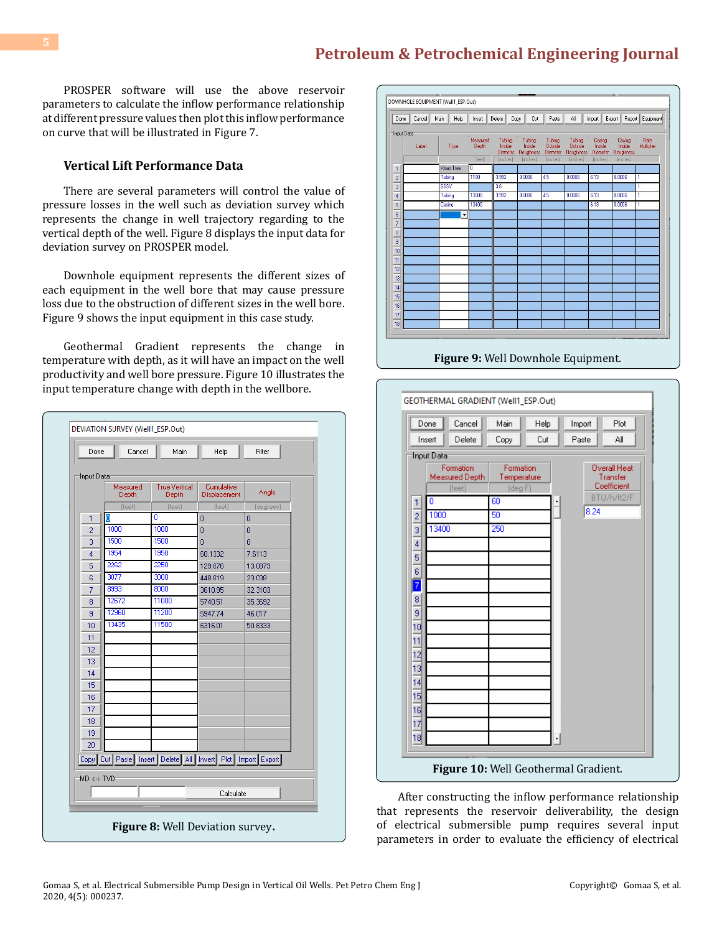PROSPER software will use the above reservoir parameters to calculate the inflow performance relationship at different pressure values then plot this inflow performance on curve that will be illustrated in Figure 7.

#### **Vertical Lift Performance Data**

There are several parameters will control the value of pressure losses in the well such as deviation survey which represents the change in well trajectory regarding to the vertical depth of the well. Figure 8 displays the input data for deviation survey on PROSPER model.

Downhole equipment represents the different sizes of each equipment in the well bore that may cause pressure loss due to the obstruction of different sizes in the well bore. Figure 9 shows the input equipment in this case study.

Geothermal Gradient represents the change in temperature with depth, as it will have an impact on the well productivity and well bore pressure. Figure 10 illustrates the input temperature change with depth in the wellbore.

| Done           | Cancel                                                     | Main                          | Help                       | Filter         |
|----------------|------------------------------------------------------------|-------------------------------|----------------------------|----------------|
| Input Data     |                                                            |                               |                            |                |
|                | Measured<br>Depth                                          | <b>True Vertical</b><br>Depth | Cumulative<br>Displacement | Angle          |
|                | (feet)                                                     | [feet]                        | (feet)                     | (degrees)      |
| 1              | lol                                                        | ō                             | $\overline{0}$             | Ō              |
| $\overline{2}$ | 1000                                                       | 1000                          | $\overline{0}$             | $\overline{0}$ |
| 3              | 1500                                                       | 1500                          | $\overline{0}$             | Ō              |
| 4              | 1954                                                       | 1950                          | 60.1332                    | 7.6113         |
| 5              | 2262                                                       | 2250                          | 129,876                    | 13.0873        |
| 6              | 3077                                                       | 3000                          | 448.819                    | 23,038         |
| 7              | 8993                                                       | 8000                          | 3610.95                    | 32.3103        |
| 8              | 12672                                                      | 11000                         | 5740.51                    | 35.3692        |
| 9              | 12960                                                      | 11200                         | 5947.74                    | 46.017         |
| 10             | 13435                                                      | 11500                         | 6316.01                    | 50.8333        |
| 11             |                                                            |                               |                            |                |
| 12             |                                                            |                               |                            |                |
| 13             |                                                            |                               |                            |                |
| 14             |                                                            |                               |                            |                |
| 15             |                                                            |                               |                            |                |
| 16             |                                                            |                               |                            |                |
| 17             |                                                            |                               |                            |                |
| 18             |                                                            |                               |                            |                |
| 19             |                                                            |                               |                            |                |
| 20             |                                                            |                               |                            |                |
|                | Copy Cut Paste Insert Delete All Invert Plot Import Export |                               |                            |                |
| MD <-> TVD     |                                                            |                               |                            |                |
|                |                                                            |                               | Calculate                  |                |
|                |                                                            |                               |                            |                |



**Figure 9:** Well Downhole Equipment.



After constructing the inflow performance relationship that represents the reservoir deliverability, the design of electrical submersible pump requires several input parameters in order to evaluate the efficiency of electrical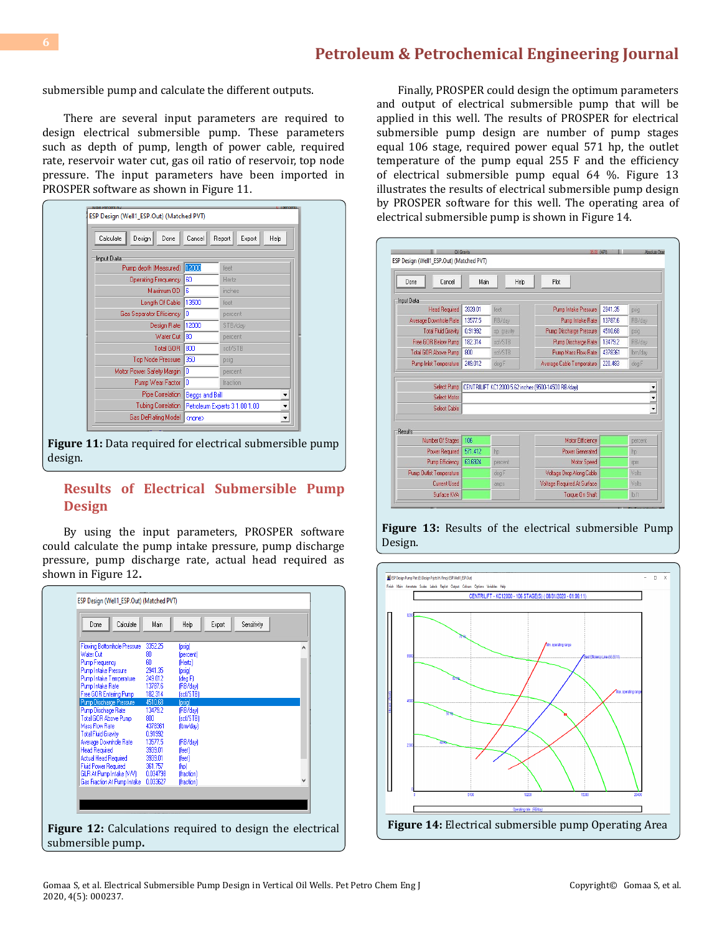submersible pump and calculate the different outputs.

There are several input parameters are required to design electrical submersible pump. These parameters such as depth of pump, length of power cable, required rate, reservoir water cut, gas oil ratio of reservoir, top node pressure. The input parameters have been imported in PROSPER software as shown in Figure 11.

| Calculate<br>Done<br>Design   | Cancel          | Report<br>Export<br>Help           |
|-------------------------------|-----------------|------------------------------------|
| Input Data                    |                 |                                    |
| Pump depth (Measured)   12000 |                 | feet                               |
| Operating Frequency           | 160             | Hertz                              |
| Maximum OD                    | 16              | inches                             |
| Length Of Cable               | 13500           | feet                               |
| Gas Separator Efficiency      | Iо              | percent                            |
| Design Rate                   | 12000           | STB/day                            |
| Water Cut                     | 180             | percent                            |
| Total GOR                     | 800             | scf/STB                            |
| Top Node Pressure             | 350             | psig                               |
| Motor Power Safety Margin 0   |                 | percent                            |
| Pump Wear Factor 10           |                 | fraction                           |
| Pipe Correlation              | Beggs and Brill |                                    |
| Tubing Correlation            |                 | Petroleum Experts 3 1.00 1.00<br>▼ |
| Gas DeRating Model            | <none></none>   | $\blacktriangledown$               |

**Figure 11:** Data required for electrical submersible pump design.

### **Results of Electrical Submersible Pump Design**

By using the input parameters, PROSPER software could calculate the pump intake pressure, pump discharge pressure, pump discharge rate, actual head required as shown in Figure 12**.**

| Calculate<br>Done           | Main     | Help       | Export | Sensitivity |   |
|-----------------------------|----------|------------|--------|-------------|---|
| Flowing Bottomhole Pressure | 3352.25  | (psig)     |        |             | ٨ |
| Water Cut                   | 80       | (percent)  |        |             |   |
| Pump Frequency              | 60       | (Hertz)    |        |             |   |
| Pump Intake Pressure        | 2941.35  | (psig)     |        |             |   |
| Pump Intake Temperature     | 249.012  | (deg F)    |        |             |   |
| Pump Intake Rate            | 13787.6  | (RB/day)   |        |             |   |
| Free GOR Entering Pump      | 182.314  | (scf/STB)  |        |             |   |
| Pump Discharge Pressure     | 4510.68  | (psig)     |        |             |   |
| Pump Dischage Rate          | 13479.2  | (RB/day)   |        |             |   |
| Total GOR Above Pump        | 800      | (scf/STB)  |        |             |   |
| <b>Mass Flow Rate</b>       | 4378361  | (Ibm/dav)  |        |             |   |
| <b>Total Fluid Gravity</b>  | 0.91992  |            |        |             |   |
| Average Downhole Rate       | 13577.5  | (RB/day)   |        |             |   |
| <b>Head Required</b>        | 3939.01  | (feet)     |        |             |   |
| Actual Head Required        | 3939.01  | (feet)     |        |             |   |
| <b>Fluid Power Required</b> | 361.757  | (hp)       |        |             |   |
| GLR At Pump Intake (V/V)    | 0.034798 | (fraction) |        |             |   |
| Gas Fraction At Pump Intake | 0.033627 | (fraction) |        |             | ٧ |

**Figure 12:** Calculations required to design the electrical submersible pump**.** 

Finally, PROSPER could design the optimum parameters and output of electrical submersible pump that will be applied in this well. The results of PROSPER for electrical submersible pump design are number of pump stages equal 106 stage, required power equal 571 hp, the outlet temperature of the pump equal 255 F and the efficiency of electrical submersible pump equal 64 %. Figure 13 illustrates the results of electrical submersible pump design by PROSPER software for this well. The operating area of electrical submersible pump is shown in Figure 14.

| ESP Design (Well1_ESP.Out) (Matched PVT) |         |             |                                                    |         |         |
|------------------------------------------|---------|-------------|----------------------------------------------------|---------|---------|
| Cancel<br>Done                           | Main    | Help        | Plot                                               |         |         |
| Input Data                               |         |             |                                                    |         |         |
| <b>Head Required</b>                     | 3939.01 | feet        | Pump Intake Pressure                               | 2941.35 | psig    |
| Average Downhole Rate                    | 13577.5 | RB/day      | Pump Intake Rate                                   | 13787.6 | RB/day  |
| <b>Total Fluid Gravity</b>               | 0.91992 | sp. gravity | Pump Discharge Pressure                            | 4510.68 | psig    |
| Free GOR Below Pump                      | 182.314 | scf/STB     | Pump Discharge Rate                                | 13479.2 | RB/day  |
| Total GOR Above Pump                     | 800     | scf/STB     | Pump Mass Flow Rate                                | 4378361 | Ibm/day |
| Pump Inlet Temperature                   | 249.012 | deg F       | Average Cable Temperature                          | 220.483 | degF    |
| Select Pump                              |         |             | CENTRILIFT KC12000 5.62 inches (9500-14500 RB/day) |         |         |
| Select Motor<br><b>Select Cable</b>      |         |             |                                                    |         |         |
|                                          |         |             |                                                    |         |         |
| <b>Number Of Stages</b>                  | 106     |             | <b>Motor Efficiency</b>                            |         | percent |
| <b>Power Required</b>                    | 571.412 | ho          | <b>Power Generated</b>                             |         | hp      |
| <b>Pump Efficiency</b>                   | 63.6924 | percent     | <b>Motor Speed</b>                                 |         | rpm     |
| <b>Pump Outlet Temperature</b>           |         | deg F       | Voltage Drop Along Cable                           |         | Volts   |
| <b>Results</b><br><b>Current Used</b>    |         | amps        | Voltage Required At Surface                        |         | Volts   |